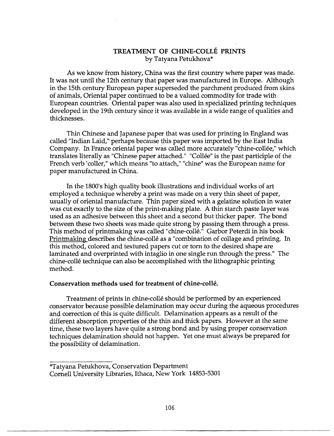## **TREATMENT OF CHINE-COLLE PRINTS**  by Tatyana Petukhova\*

As we know from history, China was the first country where paper was made. It was not until the 12th century that paper was manufactured in Europe. Although in the 15th century European paper superseded the parchment produced from skins of animals, Oriental paper continued to be a valued commodity for trade with European countries. Oriental paper was also used in specialized printing techniques developed in the 19th century since it was available in a wide range of qualities and thicknesses.

Thin Chinese and Japanese paper that was used for printing in England was called "Indian Laid," perhaps because this paper was imported by the East India Company. In France oriental paper was called more accurately "chine-collee," which translates literally as "Chinese paper attached." "Collée" is the past participle of the French verb 'coller," which means "to attach," "chine" was the European name for paper manufactured in China.

In the 1800's high quality book illustrations and individual works of art employed a technique whereby a print was made on a very thin sheet of paper, usually of oriental manufacture. Thin paper sized with a gelatine solution in water was cut exactly to the size of the print-making plate. A thin starch paste layer was used as an adhesive between this sheet and a second but thicker paper. The bond between these two sheets was made quite strong by passing them through a press. This method of printmaking was called "chine-collé." Garbor Peterdi in his book Printmaking describes the chine-colle as a "combination of collage and printing. In this method, colored and textured papers cut or torn to the desired shape are laminated and overprinted with intaglio in one single run through the press." The chine-colle technique can also be accomplished with the lithographic printing method.

## **Conservation methods used for treatment of chine-colle.**

Treatment of prints in chine-colle should be performed by an experienced conservator because possible delamination may occur during the aqueous procedures and correction of this is quite difficult. Delamination appears as a result of the different absorption properties of the thin and thick papers. However at the same time, these two layers have quite a strong bond and by using proper conservation techniques delamination should not happen. Yet one must always be prepared for the possibility of delamination.

\*Tatyana Petukhova, Conservation Department Cornell University Libraries, Ithaca, New York 14853-5301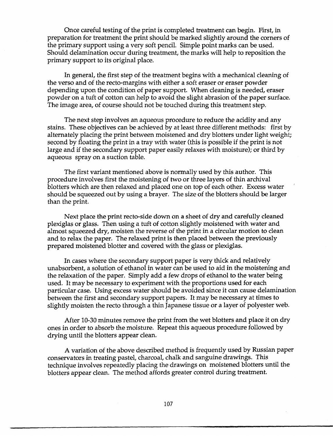Once careful testing of the print is completed treatment can begin. First, in preparation for treatment the print should be marked slightly around the corners of the primary support using a very soft pencil. Simple point marks can be used. Should delamination occur during treatment, the marks will help to reposition the primary support to its original place.

In general, the first step of the treatment begins with a mechanical cleaning of the verso and of the recto-margins with either a soft eraser or eraser powder depending upon the condition of paper support. When cleaning is needed, eraser powder on a tuft of cotton can help to avoid the slight abrasion of the paper surface. The image area, of course should not be touched during this treatment step.

The next step involves an aqueous procedure to reduce the acidity and any stains. These objectives can be achieved by at least three different methods: first by alternately placing the print between moistened and dry blotters under light weight; second by floating the print in a tray with water (this is possible if the print is not large and if the secondary support paper easily relaxes with moisture); or third by aqueous spray on a suction table.

The first variant mentioned above is normally used by this author. This procedure involves first the moistening of two or three layers of thin archival blotters which are then relaxed and placed one on top of each other. Excess water should be squeezed out by using a brayer. The size of the blotters should be larger than the print.

Next place the print recto-side down on a sheet of dry and carefully cleaned plexiglas or glass. Then using a tuft of cotton slightly moistened with water and almost squeezed dry, moisten the reverse of the print in a circular motion to clean and to relax the paper. The relaxed print is then placed between the previously prepared moistened blotter and covered with the glass or plexiglas.

In cases where the secondary support paper is very thick and relatively unabsorbent, a solution of ethanol in water can be used to aid in the moistening and the relaxation of the paper. Simply add a few drops of ethanol to the water being used. It may be necessary to experiment with the proportions used for each particular case. Using excess water should be avoided since it can cause delamination between the first and secondary support papers. It may be necessary at times to slightly moisten the recto through a thin Japanese tissue or a layer of polyester web.

After 10-30 minutes remove the print from the wet blotters and place it on dry ones in order to absorb the moisture. Repeat this aqueous procedure followed by drying until the blotters appear clean.

A variation of the above described method is frequently used by Russian paper conservators in treating pastel, charcoal, chalk and sanguine drawings. This technique involves repeatedly placing the drawings on moistened blotters until the blotters appear clean. The method affords greater control during treatment.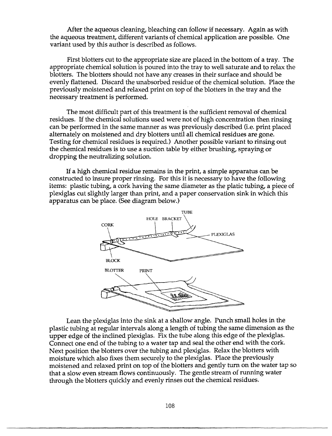After the aqueous cleaning, bleaching can follow if necessary. Again as with the aqueous treatment, different variants of chemical application are possible. One variant used by this author is described as follows.

First blotters cut to the appropriate size are placed in the bottom of a tray. The appropriate chemical solution is poured into the tray to well saturate and to relax the blotters. The blotters should not have any creases in their surface and should be evenly flattened. Discard the unabsorbed residue of the chemical solution. Place the previously moistened and relaxed print on top of the blotters in the tray and the necessary treatment is performed.

The most difficult part of this treatment is the sufficient removal of chemical residues. ff the chemical solutions used were not of high concentration then rinsing can be performed in the same manner as was previously described (i.e. print placed alternately on moistened and dry blotters until all chemical residues are gone. Testing for chemical residues is required.) Another possible variant to rinsing out the chemical residues is to use a suction table by either brushing, spraying or dropping the neutralizing solution.

If a high chemical residue remains in the print, a simple apparatus can be constructed to insure proper rinsing. For this it is necessary to have the following items: plastic tubing, a cork having the same diameter as the platic tubing, a piece of plexiglas cut slightly larger than print, and a paper conservation sink in which this apparatus can be place. (See diagram below.)



Lean the plexiglas into the sink at a shallow angle. Punch small holes in the plastic tubing at regular intervals along a length of tubing the same dimension as the upper edge of the inclined plexiglas. Fix the tube along this edge of the plexiglas. Connect one end of the tubing to a water tap and seal the other end with the cork. Next position the blotters over the tubing and plexiglas. Relax the blotters with moisture which also fixes them securely to the plexiglas. Place the previously moistened and relaxed print on top of the blotters and gently turn on the water tap so that a slow even stream flows continuously. The gentle stream of running water through the blotters quickly and evenly rinses out the chemical residues.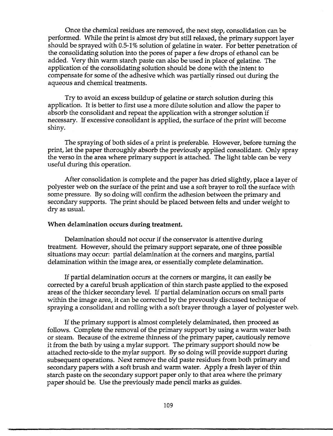Once the chemical residues are removed, the next step, consolidation can be performed. While the print is almost dry but still relaxed, the primary support layer should be sprayed with 0.5-1 % solution of gelatine in water. For better penetration of the consolidating solution into the pores of paper a few drops of ethanol can be added. Very thin warm starch paste can also be used in place of gelatine. The application of the consolidating solution should be done with the intent to compensate for some of the adhesive which was partially rinsed out during the aqueous and chemical treatments.

Try to avoid an excess buildup of gelatine or starch solution during this application. It is better to first use a more dilute solution and allow the paper to absorb the consolidant and repeat the application with a stronger solution if necessary. If excessive consolidant is applied, the surface of the print will become shiny.

The spraying of both sides of a print is preferable. However, before turning the print, let the paper thoroughly absorb the previously applied consolidant. Only spray the verso in the area where primary support is attached. The light table can be very useful during this operation.

After consolidation is complete and the paper has dried slightly, place a layer of polyester web on the surface of the print and use a soft brayer to roll the surface with some pressure. By so doing will confirm the adhesion between the primary and secondary supports. The print should be placed between felts and under weight to dry as usual.

## **When delamination occurs during treatment.**

Delamination should not occur if the conservator is attentive during treatment. However, should the primary support separate, one of three possible situations may occur: partial delamination at the corners and margins, partial delamination within the image area, or essentially complete delamination.

If partial delamination occurs at the corners or margins, it can easily be corrected by a careful brush application of thin starch paste applied to the exposed areas of the thicker secondary level. If partial delamination occurs on small parts within the image area, it can be corrected by the prevously discussed technique of spraying a consolidant and rolling with a soft brayer through a layer of polyester web.

If the primary support is almost completely delaminated, then proceed as follows. Complete the removal of the primary support by using a warm water bath or steam. Because of the extreme thinness of the primary paper, cautiously remove it from the bath by using a mylar support. The primary support should now be attached recto-side to the mylar support. By so doing will provide support during subsequent operations. Next remove the old paste residues from both primary and secondary papers with a soft brush and warm water. Apply a fresh layer of thin starch paste on the secondary support paper only to that area where the primary paper should be. Use the previously made pencil marks as guides.